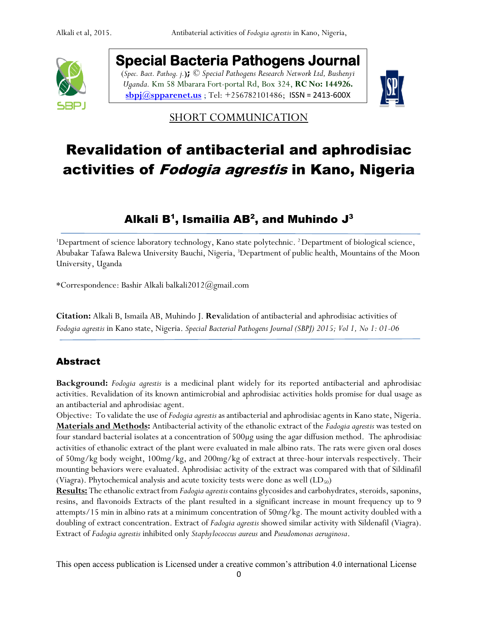

**Special Bacteria Pathogens Journal**  (*Spec. Bact. Pathog. j.***);** *© Special Pathogens Research Network Ltd, Bushenyi Uganda.* Km 58 Mbarara Fort-portal Rd, Box 324, **RC No: 144926. [sbpj@spparenet.us](mailto:sbpj@spparenet.us)** ; Tel: +256782101486; [ISSN = 2413-600X](https://www.google.com/url?sa=t&rct=j&q=&esrc=s&source=web&cd=1&cad=rja&uact=8&ved=0ahUKEwiFp5Ggge_XAhWpAsAKHapIARsQFggqMAA&url=http%3A%2F%2Fwww.spparenet.us%2FSBPJ%2Fscope%2F&usg=AOvVaw3D79hMirI6WLP01DNutMuL)



**SHORT COMMUNICATION** 

# Revalidation of antibacterial and aphrodisiac activities of Fodogia agrestis in Kano, Nigeria

## Alkali B $^{\mathsf{1}},$  Ismailia AB $^{\mathsf{2}},$  and Muhindo J $^{\mathsf{3}}$

<sup>1</sup>Department of science laboratory technology, Kano state polytechnic. <sup>2</sup> Department of biological science, Abubakar Tafawa Balewa University Bauchi, Nigeria, <sup>3</sup>Department of public health, Mountains of the Moon University, Uganda

\*Correspondence: Bashir Alkali balkali2012@gmail.com

**Citation:** Alkali B, Ismaila AB, Muhindo J. **Rev**alidation of antibacterial and aphrodisiac activities of *Fodogia agrestis* in Kano state, Nigeria. *Special Bacterial Pathogens Journal (SBPJ) 2015; Vol 1, No 1: 01-06*

#### Abstract

**Background:** *Fodogia agrestis* is a medicinal plant widely for its reported antibacterial and aphrodisiac activities. Revalidation of its known antimicrobial and aphrodisiac activities holds promise for dual usage as an antibacterial and aphrodisiac agent.

Objective: To validate the use of *Fodogia agrestis* as antibacterial and aphrodisiac agents in Kano state, Nigeria. **Materials and Methods:** Antibacterial activity of the ethanolic extract of the *Fadogia agrestis* was tested on four standard bacterial isolates at a concentration of 500µg using the agar diffusion method. The aphrodisiac activities of ethanolic extract of the plant were evaluated in male albino rats. The rats were given oral doses of 50mg/kg body weight, 100mg/kg, and 200mg/kg of extract at three-hour intervals respectively. Their mounting behaviors were evaluated. Aphrodisiac activity of the extract was compared with that of Sildinafil (Viagra). Phytochemical analysis and acute toxicity tests were done as well  $(LD_{50})$ 

**Results:** The ethanolic extract from *Fadogia agrestis*contains glycosides and carbohydrates, steroids, saponins, resins, and flavonoids Extracts of the plant resulted in a significant increase in mount frequency up to 9 attempts/15 min in albino rats at a minimum concentration of 50mg/kg. The mount activity doubled with a doubling of extract concentration. Extract of *Fadogia agrestis* showed similar activity with Sildenafil (Viagra). Extract of *Fadogia agrestis* inhibited only *Staphylococcus aureus* and *Pseudomonas aeruginosa*.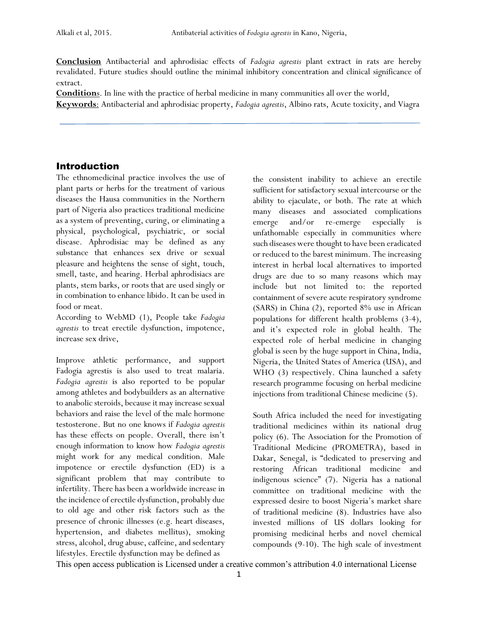**Conclusion** Antibacterial and aphrodisiac effects of *Fadogia agrestis* plant extract in rats are hereby revalidated. Future studies should outline the minimal inhibitory concentration and clinical significance of extract.

**Condition**s. In line with the practice of herbal medicine in many communities all over the world, **Keywords**: Antibacterial and aphrodisiac property, *Fadogia agrestis*, Albino rats, Acute toxicity, and Viagra

#### Introduction

The ethnomedicinal practice involves the use of plant parts or herbs for the treatment of various diseases the Hausa communities in the Northern part of Nigeria also practices traditional medicine as a system of preventing, curing, or eliminating a physical, psychological, psychiatric, or social disease. Aphrodisiac may be defined as any substance that enhances sex drive or sexual pleasure and heightens the sense of sight, touch, smell, taste, and hearing. Herbal aphrodisiacs are plants, stem barks, or roots that are used singly or in combination to enhance libido. It can be used in food or meat.

According to WebMD (1), People take *Fadogia agrestis* to treat erectile dysfunction, impotence, increase sex drive,

Improve athletic performance, and support Fadogia agrestis is also used to treat malaria. *Fadogia agrestis* is also reported to be popular among athletes and bodybuilders as an alternative to anabolic steroids, because it may increase sexual behaviors and raise the level of the male hormone testosterone. But no one knows if *Fadogia agrestis* has these effects on people. Overall, there isn't enough information to know how *Fadogia agrestis* might work for any medical condition. Male impotence or erectile dysfunction (ED) is a significant problem that may contribute to infertility. There has been a worldwide increase in the incidence of erectile dysfunction, probably due to old age and other risk factors such as the presence of chronic illnesses (e.g. heart diseases, hypertension, and diabetes mellitus), smoking stress, alcohol, drug abuse, caffeine, and sedentary lifestyles. Erectile dysfunction may be defined as

the consistent inability to achieve an erectile sufficient for satisfactory sexual intercourse or the ability to ejaculate, or both. The rate at which many diseases and associated complications emerge and/or re-emerge especially is unfathomable especially in communities where such diseases were thought to have been eradicated or reduced to the barest minimum. The increasing interest in herbal local alternatives to imported drugs are due to so many reasons which may include but not limited to: the reported containment of severe acute respiratory syndrome (SARS) in China (2), reported 8% use in African populations for different health problems (3-4), and it's expected role in global health. The expected role of herbal medicine in changing global is seen by the huge support in China, India, Nigeria, the United States of America (USA), and WHO (3) respectively. China launched a safety research programme focusing on herbal medicine injections from traditional Chinese medicine (5).

South Africa included the need for investigating traditional medicines within its national drug policy (6). The Association for the Promotion of Traditional Medicine (PROMETRA), based in Dakar, Senegal, is "dedicated to preserving and restoring African traditional medicine and indigenous science" (7). Nigeria has a national committee on traditional medicine with the expressed desire to boost Nigeria's market share of traditional medicine (8). Industries have also invested millions of US dollars looking for promising medicinal herbs and novel chemical compounds (9-10). The high scale of investment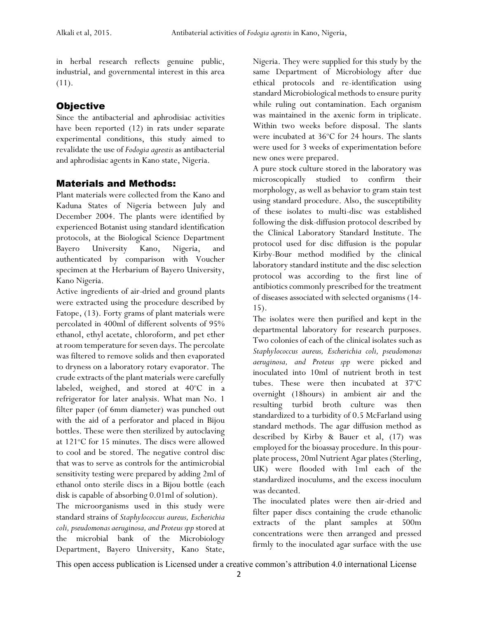in herbal research reflects genuine public, industrial, and governmental interest in this area (11).

#### **Objective**

Since the antibacterial and aphrodisiac activities have been reported (12) in rats under separate experimental conditions, this study aimed to revalidate the use of *Fodogia agrestis* as antibacterial and aphrodisiac agents in Kano state, Nigeria.

#### Materials and Methods:

Plant materials were collected from the Kano and Kaduna States of Nigeria between July and December 2004. The plants were identified by experienced Botanist using standard identification protocols, at the Biological Science Department Bayero University Kano, Nigeria, and authenticated by comparison with Voucher specimen at the Herbarium of Bayero University, Kano Nigeria.

Active ingredients of air-dried and ground plants were extracted using the procedure described by Fatope, (13). Forty grams of plant materials were percolated in 400ml of different solvents of 95% ethanol, ethyl acetate, chloroform, and pet ether at room temperature for seven days. The percolate was filtered to remove solids and then evaporated to dryness on a laboratory rotary evaporator. The crude extracts of the plant materials were carefully labeled, weighed, and stored at  $40^{\circ}$ C in a refrigerator for later analysis. What man No. 1 filter paper (of 6mm diameter) was punched out with the aid of a perforator and placed in Bijou bottles. These were then sterilized by autoclaving at 121°C for 15 minutes. The discs were allowed to cool and be stored. The negative control disc that was to serve as controls for the antimicrobial sensitivity testing were prepared by adding 2ml of ethanol onto sterile discs in a Bijou bottle (each disk is capable of absorbing 0.01ml of solution).

The microorganisms used in this study were standard strains of *Staphylococcus aureus, Escherichia*  coli, pseudomonas aeruginosa, and Proteus spp stored at the microbial bank of the Microbiology Department, Bayero University, Kano State, Nigeria. They were supplied for this study by the same Department of Microbiology after due ethical protocols and re-identification using standard Microbiological methods to ensure purity while ruling out contamination. Each organism was maintained in the axenic form in triplicate. Within two weeks before disposal. The slants were incubated at  $36^{\circ}$ C for 24 hours. The slants were used for 3 weeks of experimentation before new ones were prepared.

A pure stock culture stored in the laboratory was microscopically studied to confirm their morphology, as well as behavior to gram stain test using standard procedure. Also, the susceptibility of these isolates to multi-disc was established following the disk-diffusion protocol described by the Clinical Laboratory Standard Institute. The protocol used for disc diffusion is the popular Kirby-Bour method modified by the clinical laboratory standard institute and the disc selection protocol was according to the first line of antibiotics commonly prescribed for the treatment of diseases associated with selected organisms (14- 15).

The isolates were then purified and kept in the departmental laboratory for research purposes. Two colonies of each of the clinical isolates such as *Staphylococcus aureus, Escherichia coli, pseudomonas aeruginosa, and Proteus spp* were picked and inoculated into 10ml of nutrient broth in test tubes. These were then incubated at  $37^{\circ}$ C overnight (18hours) in ambient air and the resulting turbid broth culture was then standardized to a turbidity of 0.5 McFarland using standard methods. The agar diffusion method as described by Kirby & Bauer et al, (17) was employed for the bioassay procedure. In this pourplate process, 20ml Nutrient Agar plates (Sterling, UK) were flooded with 1ml each of the standardized inoculums, and the excess inoculum was decanted.

The inoculated plates were then air-dried and filter paper discs containing the crude ethanolic extracts of the plant samples at 500m concentrations were then arranged and pressed firmly to the inoculated agar surface with the use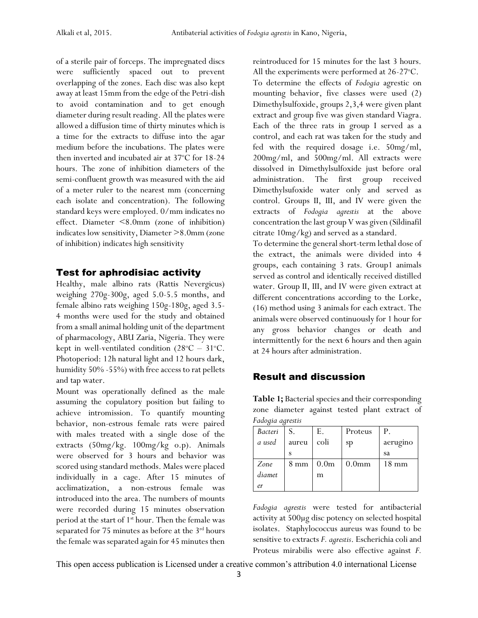of a sterile pair of forceps. The impregnated discs were sufficiently spaced out to prevent overlapping of the zones. Each disc was also kept away at least 15mm from the edge of the Petri-dish to avoid contamination and to get enough diameter during result reading. All the plates were allowed a diffusion time of thirty minutes which is a time for the extracts to diffuse into the agar medium before the incubations. The plates were then inverted and incubated air at 37°C for 18-24 hours. The zone of inhibition diameters of the semi-confluent growth was measured with the aid of a meter ruler to the nearest mm (concerning each isolate and concentration). The following standard keys were employed. 0/mm indicates no effect. Diameter <8.0mm (zone of inhibition) indicates low sensitivity, Diameter >8.0mm (zone of inhibition) indicates high sensitivity

#### Test for aphrodisiac activity

Healthy, male albino rats (Rattis Nevergicus) weighing 270g-300g, aged 5.0-5.5 months, and female albino rats weighing 150g-180g, aged 3.5- 4 months were used for the study and obtained from a small animal holding unit of the department of pharmacology, ABU Zaria, Nigeria. They were kept in well-ventilated condition ( $28^{\circ}C - 31^{\circ}C$ . Photoperiod: 12h natural light and 12 hours dark, humidity 50% -55%) with free access to rat pellets and tap water.

Mount was operationally defined as the male assuming the copulatory position but failing to achieve intromission. To quantify mounting behavior, non-estrous female rats were paired with males treated with a single dose of the extracts (50mg/kg. 100mg/kg o.p). Animals were observed for 3 hours and behavior was scored using standard methods. Males were placed individually in a cage. After 15 minutes of acclimatization, a non-estrous female was introduced into the area. The numbers of mounts were recorded during 15 minutes observation period at the start of 1<sup>st</sup> hour. Then the female was separated for 75 minutes as before at the  $3<sup>rd</sup>$  hours the female was separated again for 45 minutes then reintroduced for 15 minutes for the last 3 hours. All the experiments were performed at  $26-27^{\circ}$ C.

To determine the effects of *Fodogia* agrestic on mounting behavior, five classes were used (2) Dimethylsulfoxide, groups 2,3,4 were given plant extract and group five was given standard Viagra. Each of the three rats in group I served as a control, and each rat was taken for the study and fed with the required dosage i.e. 50mg/ml, 200mg/ml, and 500mg/ml. All extracts were dissolved in Dimethylsulfoxide just before oral administration. The first group received Dimethylsufoxide water only and served as control. Groups II, III, and IV were given the extracts of *Fodogia agrestis* at the above concentration the last group V was given (Sildinafil citrate 10mg/kg) and served as a standard.

To determine the general short-term lethal dose of the extract, the animals were divided into 4 groups, each containing 3 rats. Group1 animals served as control and identically received distilled water. Group II, III, and IV were given extract at different concentrations according to the Lorke, (16) method using 3 animals for each extract. The animals were observed continuously for 1 hour for any gross behavior changes or death and intermittently for the next 6 hours and then again at 24 hours after administration.

#### Result and discussion

**Table 1;** Bacterial species and their corresponding zone diameter against tested plant extract of *Fadogia agrestis*

| Bacteri | S.             | Е.               | Proteus           | P.              |
|---------|----------------|------------------|-------------------|-----------------|
| a used  | aureu          | coli             | sp                | aerugino        |
|         |                |                  |                   | sa              |
| Zone    | $8 \text{ mm}$ | 0.0 <sub>m</sub> | 0.0 <sub>mm</sub> | $18 \text{ mm}$ |
| diamet  |                | m                |                   |                 |
| er      |                |                  |                   |                 |

*Fadogia agrestis* were tested for antibacterial activity at 500µg disc potency on selected hospital isolates. Staphylococcus aureus was found to be sensitive to extracts *F. agrestis*. Escherichia coli and Proteus mirabilis were also effective against *F.*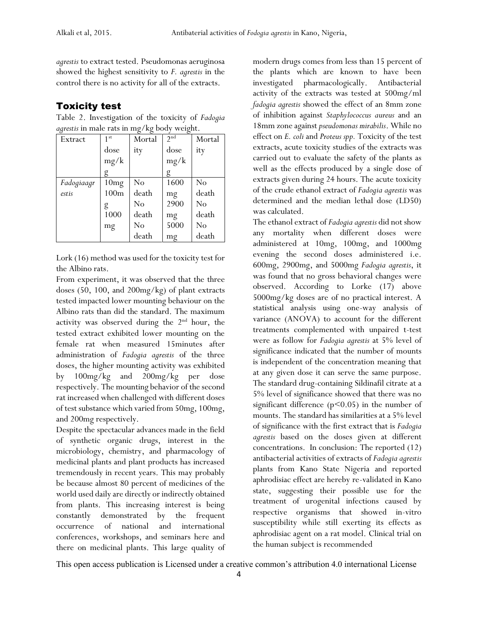*agrestis* to extract tested. Pseudomonas aeruginosa showed the highest sensitivity to *F. agrestis* in the control there is no activity for all of the extracts.

### Toxicity test

Table 2. Investigation of the toxicity of *Fadogia agrestis* in male rats in mg/kg body weight.

| Extract    | 1 <sup>st</sup>  | Mortal         | 2 <sup>nd</sup> | Mortal |
|------------|------------------|----------------|-----------------|--------|
|            | dose             | ity            | dose            | ity    |
|            | mg/k             |                | mg/k            |        |
|            |                  |                | g               |        |
| Fadogiaagr | 10mg             | N <sub>0</sub> | 1600            | No     |
| estis      | 100 <sub>m</sub> | death          | mg              | death  |
|            | g                | No             | 2900            | No     |
|            | 1000             | death          | mg              | death  |
|            | mg               | No             | 5000            | No     |
|            |                  | death          | mg              | death  |

Lork (16) method was used for the toxicity test for the Albino rats.

From experiment, it was observed that the three doses (50, 100, and 200mg/kg) of plant extracts tested impacted lower mounting behaviour on the Albino rats than did the standard. The maximum activity was observed during the  $2<sup>nd</sup>$  hour, the tested extract exhibited lower mounting on the female rat when measured 15minutes after administration of *Fadogia agrestis* of the three doses, the higher mounting activity was exhibited by 100mg/kg and 200mg/kg per dose respectively. The mounting behavior of the second rat increased when challenged with different doses of test substance which varied from 50mg, 100mg, and 200mg respectively.

Despite the spectacular advances made in the field of synthetic organic drugs, interest in the microbiology, chemistry, and pharmacology of medicinal plants and plant products has increased tremendously in recent years. This may probably be because almost 80 percent of medicines of the world used daily are directly or indirectly obtained from plants. This increasing interest is being constantly demonstrated by the frequent occurrence of national and international conferences, workshops, and seminars here and there on medicinal plants. This large quality of

modern drugs comes from less than 15 percent of the plants which are known to have been investigated pharmacologically. Antibacterial activity of the extracts was tested at 500mg/ml *fadogia agrestis* showed the effect of an 8mm zone of inhibition against *Staphylococcus aureus* and an 18mm zone against *pseudomonas mirabilis*. While no effect on *E. coli* and *Proteus spp.* Toxicity of the test extracts, acute toxicity studies of the extracts was carried out to evaluate the safety of the plants as well as the effects produced by a single dose of extracts given during 24 hours. The acute toxicity of the crude ethanol extract of *Fadogia agrestis* was determined and the median lethal dose (LD50) was calculated.

The ethanol extract of *Fadogia agrestis* did not show any mortality when different doses were administered at 10mg, 100mg, and 1000mg evening the second doses administered i.e. 600mg, 2900mg, and 5000mg *Fadogia agrestis*, it was found that no gross behavioral changes were observed. According to Lorke (17) above 5000mg/kg doses are of no practical interest. A statistical analysis using one-way analysis of variance (ANOVA) to account for the different treatments complemented with unpaired t-test were as follow for *Fadogia agrestis* at 5% level of significance indicated that the number of mounts is independent of the concentration meaning that at any given dose it can serve the same purpose. The standard drug-containing Sildinafil citrate at a 5% level of significance showed that there was no significant difference  $(p<0.05)$  in the number of mounts. The standard has similarities at a 5% level of significance with the first extract that is *Fadogia agrestis* based on the doses given at different concentrations. In conclusion: The reported (12) antibacterial activities of extracts of *Fadogia agrestis* plants from Kano State Nigeria and reported aphrodisiac effect are hereby re-validated in Kano state, suggesting their possible use for the treatment of urogenital infections caused by respective organisms that showed in-vitro susceptibility while still exerting its effects as aphrodisiac agent on a rat model. Clinical trial on the human subject is recommended